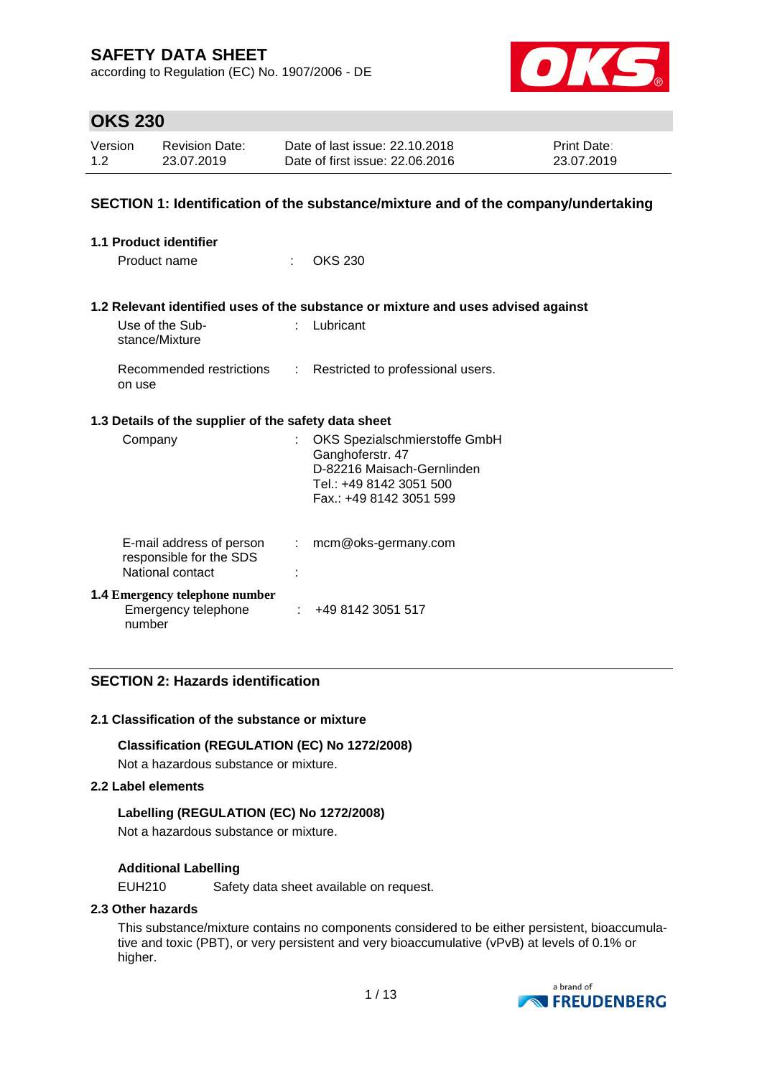according to Regulation (EC) No. 1907/2006 - DE



## **OKS 230**

| Version | <b>Revision Date:</b> | Date of last issue: 22.10.2018  | <b>Print Date:</b> |
|---------|-----------------------|---------------------------------|--------------------|
| 1.2     | 23.07.2019            | Date of first issue: 22,06,2016 | 23.07.2019         |

## **SECTION 1: Identification of the substance/mixture and of the company/undertaking**

| 1.1 Product identifier                                                  |                |                                                                                                                                       |  |  |  |  |  |
|-------------------------------------------------------------------------|----------------|---------------------------------------------------------------------------------------------------------------------------------------|--|--|--|--|--|
| Product name                                                            | ÷.             | <b>OKS 230</b>                                                                                                                        |  |  |  |  |  |
|                                                                         |                | 1.2 Relevant identified uses of the substance or mixture and uses advised against                                                     |  |  |  |  |  |
| Use of the Sub-<br>stance/Mixture                                       | t.             | Lubricant                                                                                                                             |  |  |  |  |  |
| Recommended restrictions<br>on use                                      | $\mathbb{R}^n$ | Restricted to professional users.                                                                                                     |  |  |  |  |  |
| 1.3 Details of the supplier of the safety data sheet                    |                |                                                                                                                                       |  |  |  |  |  |
| Company                                                                 | t.             | OKS Spezialschmierstoffe GmbH<br>Ganghoferstr. 47<br>D-82216 Maisach-Gernlinden<br>Tel.: +49 8142 3051 500<br>Fax.: +49 8142 3051 599 |  |  |  |  |  |
| E-mail address of person<br>responsible for the SDS<br>National contact |                | $:$ mcm@oks-germany.com                                                                                                               |  |  |  |  |  |
| <b>1.4 Emergency telephone number</b><br>Emergency telephone<br>number  |                | : 4981423051517                                                                                                                       |  |  |  |  |  |

## **SECTION 2: Hazards identification**

## **2.1 Classification of the substance or mixture**

## **Classification (REGULATION (EC) No 1272/2008)**

Not a hazardous substance or mixture.

#### **2.2 Label elements**

## **Labelling (REGULATION (EC) No 1272/2008)**

Not a hazardous substance or mixture.

## **Additional Labelling**

EUH210 Safety data sheet available on request.

## **2.3 Other hazards**

This substance/mixture contains no components considered to be either persistent, bioaccumulative and toxic (PBT), or very persistent and very bioaccumulative (vPvB) at levels of 0.1% or higher.

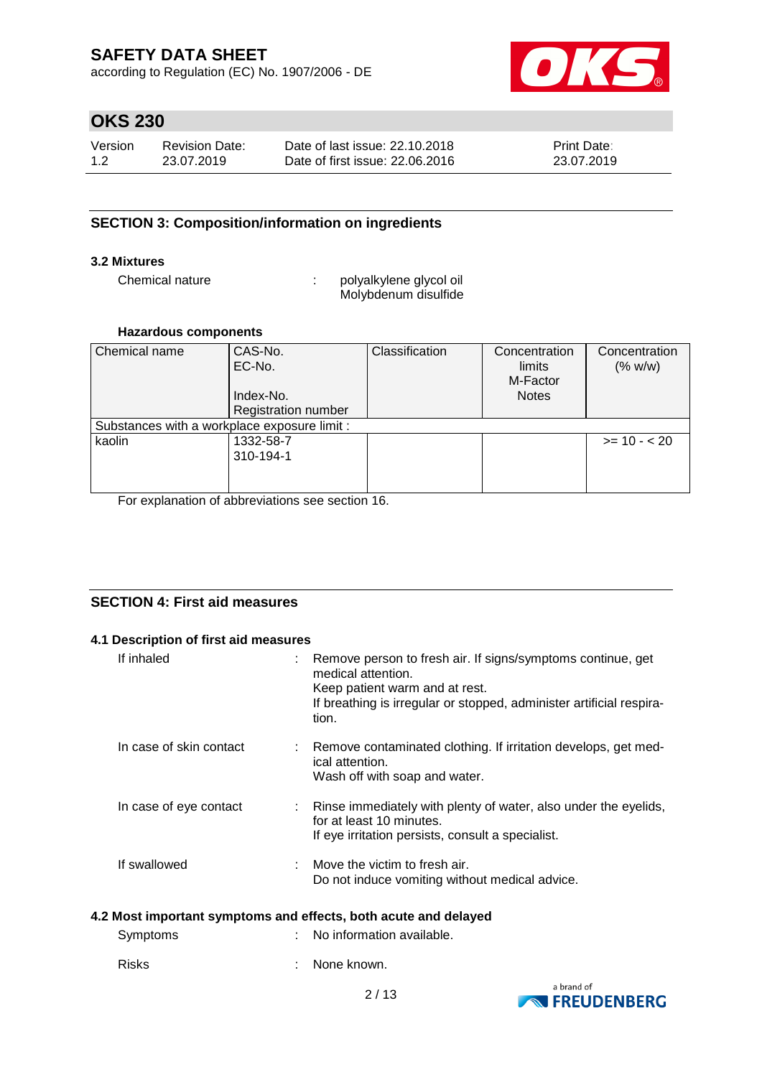according to Regulation (EC) No. 1907/2006 - DE



# **OKS 230**

| Version | Revision Date: | Date of last issue: 22.10.2018  | <b>Print Date:</b> |
|---------|----------------|---------------------------------|--------------------|
| 1.2     | 23.07.2019     | Date of first issue: 22,06,2016 | 23.07.2019         |

## **SECTION 3: Composition/information on ingredients**

## **3.2 Mixtures**

Chemical nature  $\qquad \qquad : \qquad$  polyalkylene glycol oil Molybdenum disulfide

## **Hazardous components**

| Chemical name<br>CAS-No.                     |                            | Classification | Concentration | Concentration |  |
|----------------------------------------------|----------------------------|----------------|---------------|---------------|--|
|                                              | EC-No.                     |                | limits        | (% w/w)       |  |
|                                              |                            |                | M-Factor      |               |  |
|                                              | Index-No.                  |                | <b>Notes</b>  |               |  |
|                                              | <b>Registration number</b> |                |               |               |  |
| Substances with a workplace exposure limit : |                            |                |               |               |  |
| kaolin                                       | 1332-58-7                  |                |               | $>= 10 - 20$  |  |
|                                              | 310-194-1                  |                |               |               |  |
|                                              |                            |                |               |               |  |
|                                              |                            |                |               |               |  |

For explanation of abbreviations see section 16.

## **SECTION 4: First aid measures**

## **4.1 Description of first aid measures**

| If inhaled              | : Remove person to fresh air. If signs/symptoms continue, get<br>medical attention.<br>Keep patient warm and at rest.<br>If breathing is irregular or stopped, administer artificial respira-<br>tion. |
|-------------------------|--------------------------------------------------------------------------------------------------------------------------------------------------------------------------------------------------------|
| In case of skin contact | : Remove contaminated clothing. If irritation develops, get med-<br>ical attention.<br>Wash off with soap and water.                                                                                   |
| In case of eye contact  | : Rinse immediately with plenty of water, also under the eyelids,<br>for at least 10 minutes.<br>If eye irritation persists, consult a specialist.                                                     |
| If swallowed            | $\therefore$ Move the victim to fresh air.<br>Do not induce vomiting without medical advice.                                                                                                           |

## **4.2 Most important symptoms and effects, both acute and delayed**

| Symptoms | : No information available. |
|----------|-----------------------------|
| Risks    | : None known.               |

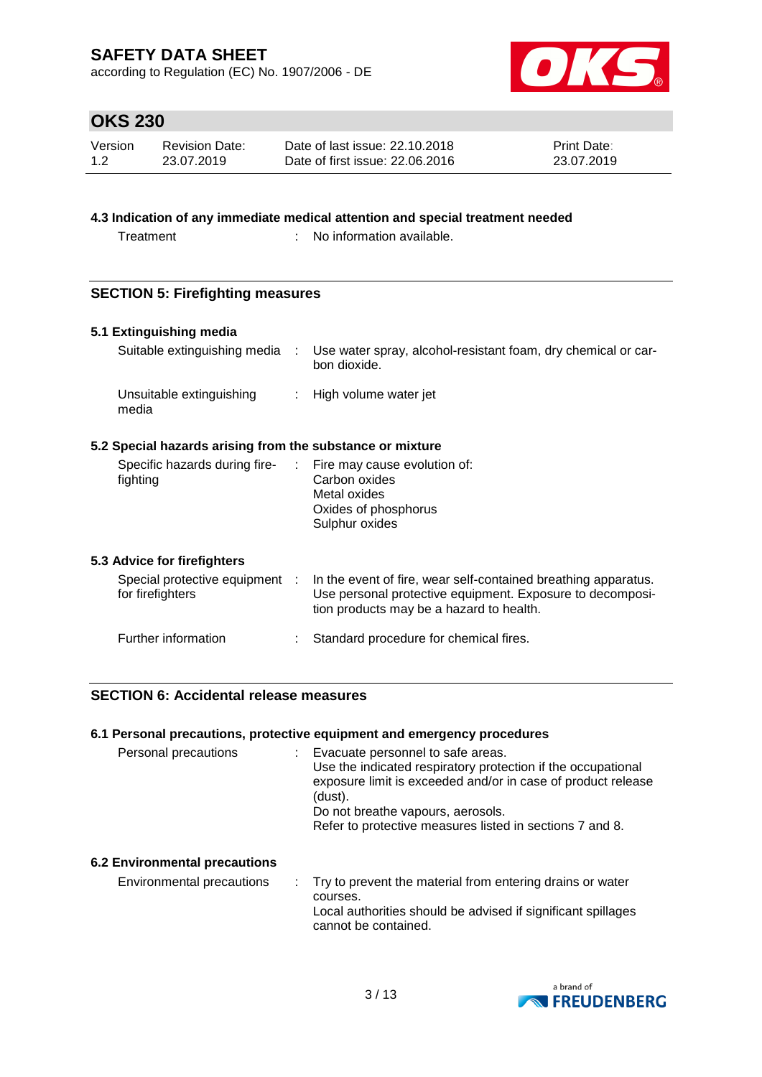according to Regulation (EC) No. 1907/2006 - DE



## **OKS 230**

| Version | <b>Revision Date:</b> | Date of last issue: 22.10.2018  | <b>Print Date:</b> |
|---------|-----------------------|---------------------------------|--------------------|
| 1.2     | 23.07.2019            | Date of first issue: 22,06,2016 | 23.07.2019         |

## **4.3 Indication of any immediate medical attention and special treatment needed**

Treatment : No information available.

## **SECTION 5: Firefighting measures**

## **5.1 Extinguishing media**

| Suitable extinguishing media                              | Use water spray, alcohol-resistant foam, dry chemical or car-<br>bon dioxide. |
|-----------------------------------------------------------|-------------------------------------------------------------------------------|
| Unsuitable extinguishing<br>media                         | : High volume water jet                                                       |
| 5.2 Special hazards arising from the substance or mixture |                                                                               |

| Specific hazards during fire-<br>fighting |  | : Fire may cause evolution of:<br>Carbon oxides<br>Metal oxides<br>Oxides of phosphorus<br>Sulphur oxides |
|-------------------------------------------|--|-----------------------------------------------------------------------------------------------------------|
|-------------------------------------------|--|-----------------------------------------------------------------------------------------------------------|

## **5.3 Advice for firefighters**

| Special protective equipment<br>for firefighters | In the event of fire, wear self-contained breathing apparatus.<br>Use personal protective equipment. Exposure to decomposi-<br>tion products may be a hazard to health. |
|--------------------------------------------------|-------------------------------------------------------------------------------------------------------------------------------------------------------------------------|
| Further information                              | : Standard procedure for chemical fires.                                                                                                                                |

## **SECTION 6: Accidental release measures**

## **6.1 Personal precautions, protective equipment and emergency procedures**

| Personal precautions | : Evacuate personnel to safe areas.<br>Use the indicated respiratory protection if the occupational |
|----------------------|-----------------------------------------------------------------------------------------------------|
|                      | exposure limit is exceeded and/or in case of product release<br>(dust).                             |
|                      | Do not breathe vapours, aerosols.                                                                   |
|                      | Refer to protective measures listed in sections 7 and 8.                                            |
|                      |                                                                                                     |

## **6.2 Environmental precautions**

Environmental precautions : Try to prevent the material from entering drains or water courses. Local authorities should be advised if significant spillages cannot be contained.

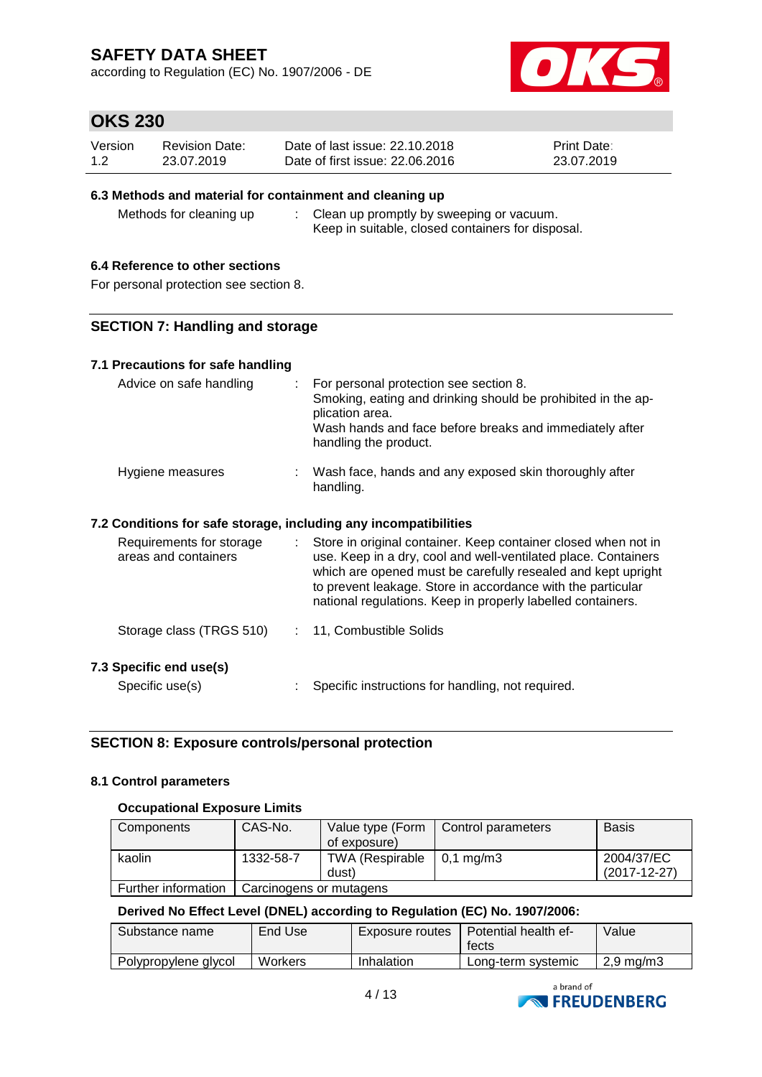according to Regulation (EC) No. 1907/2006 - DE



## **OKS 230**

| Version | <b>Revision Date:</b> | Date of last issue: 22.10.2018  | <b>Print Date:</b> |
|---------|-----------------------|---------------------------------|--------------------|
| 1.2     | 23.07.2019            | Date of first issue: 22,06,2016 | 23.07.2019         |

## **6.3 Methods and material for containment and cleaning up**

Methods for cleaning up : Clean up promptly by sweeping or vacuum. Keep in suitable, closed containers for disposal.

## **6.4 Reference to other sections**

For personal protection see section 8.

## **SECTION 7: Handling and storage**

## **7.1 Precautions for safe handling**

| Advice on safe handling                                          | : For personal protection see section 8.<br>Smoking, eating and drinking should be prohibited in the ap-<br>plication area.<br>Wash hands and face before breaks and immediately after<br>handling the product. |
|------------------------------------------------------------------|-----------------------------------------------------------------------------------------------------------------------------------------------------------------------------------------------------------------|
| Hygiene measures                                                 | Wash face, hands and any exposed skin thoroughly after<br>handling.                                                                                                                                             |
| 7.2 Conditions for safe storage, including any incompatibilities |                                                                                                                                                                                                                 |
| Requirements for storage<br>areas and containers                 | Store in original container. Keep container closed when not in<br>use. Keep in a dry, cool and well-ventilated place. Containers                                                                                |

| areas and containers     |  | use. Keep in a dry, cool and well-ventilated place. Containers<br>which are opened must be carefully resealed and kept upright<br>to prevent leakage. Store in accordance with the particular<br>national regulations. Keep in properly labelled containers. |
|--------------------------|--|--------------------------------------------------------------------------------------------------------------------------------------------------------------------------------------------------------------------------------------------------------------|
| Storage class (TRGS 510) |  | : 11, Combustible Solids                                                                                                                                                                                                                                     |

## **7.3 Specific end use(s)**

Specific use(s) : Specific instructions for handling, not required.

## **SECTION 8: Exposure controls/personal protection**

## **8.1 Control parameters**

## **Occupational Exposure Limits**

| Components          | CAS-No.                 | Value type (Form       | Control parameters   | <b>Basis</b>   |
|---------------------|-------------------------|------------------------|----------------------|----------------|
|                     |                         | of exposure)           |                      |                |
| kaolin              | 1332-58-7               | <b>TWA (Respirable</b> | $0.1 \text{ ma/m}$ 3 | 2004/37/EC     |
|                     |                         | dust)                  |                      | $(2017-12-27)$ |
| Further information | Carcinogens or mutagens |                        |                      |                |

## **Derived No Effect Level (DNEL) according to Regulation (EC) No. 1907/2006:**

| Substance name       | End Use | Exposure routes | Potential health ef-<br>tects | Value     |
|----------------------|---------|-----------------|-------------------------------|-----------|
| Polypropylene glycol | Workers | Inhalation      | Long-term systemic            | 2,9 mg/m3 |

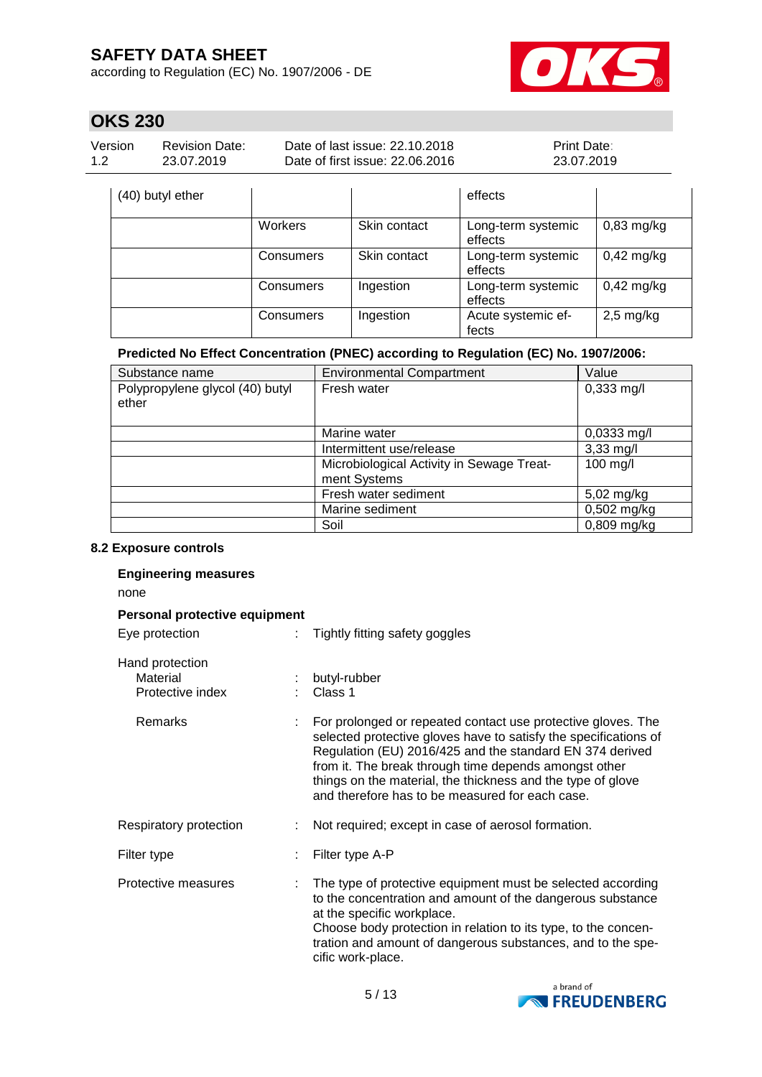according to Regulation (EC) No. 1907/2006 - DE



# **OKS 230**

| Version | <b>Revision Date:</b> | Date of last issue: 22.10.2018  | <b>Print Date:</b> |
|---------|-----------------------|---------------------------------|--------------------|
| 1.2     | 23.07.2019            | Date of first issue: 22,06,2016 | 23.07.2019         |

| (40) butyl ether |           |              | effects                       |              |
|------------------|-----------|--------------|-------------------------------|--------------|
|                  | Workers   | Skin contact | Long-term systemic<br>effects | $0,83$ mg/kg |
|                  | Consumers | Skin contact | Long-term systemic<br>effects | $0,42$ mg/kg |
|                  | Consumers | Ingestion    | Long-term systemic<br>effects | $0,42$ mg/kg |
|                  | Consumers | Ingestion    | Acute systemic ef-<br>fects   | $2,5$ mg/kg  |

## **Predicted No Effect Concentration (PNEC) according to Regulation (EC) No. 1907/2006:**

| Substance name                           | <b>Environmental Compartment</b>          | Value               |
|------------------------------------------|-------------------------------------------|---------------------|
| Polypropylene glycol (40) butyl<br>ether | Fresh water                               | $0,333$ mg/l        |
|                                          | Marine water                              | $0,0333$ mg/l       |
|                                          | Intermittent use/release                  | $3,33 \text{ mg/l}$ |
|                                          | Microbiological Activity in Sewage Treat- | 100 mg/l            |
|                                          | ment Systems                              |                     |
|                                          | Fresh water sediment                      | 5,02 mg/kg          |
|                                          | Marine sediment                           | $0,502$ mg/kg       |
|                                          | Soil                                      | $0,809$ mg/kg       |

#### **8.2 Exposure controls**

| <b>Engineering measures</b><br>none             |  |                                                                                                                                                                                                                                                                                                                                                                         |  |  |  |
|-------------------------------------------------|--|-------------------------------------------------------------------------------------------------------------------------------------------------------------------------------------------------------------------------------------------------------------------------------------------------------------------------------------------------------------------------|--|--|--|
| Personal protective equipment<br>Eye protection |  | Tightly fitting safety goggles                                                                                                                                                                                                                                                                                                                                          |  |  |  |
| Hand protection<br>Material<br>Protective index |  | butyl-rubber<br>Class 1                                                                                                                                                                                                                                                                                                                                                 |  |  |  |
| Remarks                                         |  | For prolonged or repeated contact use protective gloves. The<br>selected protective gloves have to satisfy the specifications of<br>Regulation (EU) 2016/425 and the standard EN 374 derived<br>from it. The break through time depends amongst other<br>things on the material, the thickness and the type of glove<br>and therefore has to be measured for each case. |  |  |  |
| Respiratory protection                          |  | Not required; except in case of aerosol formation.                                                                                                                                                                                                                                                                                                                      |  |  |  |
| Filter type                                     |  | Filter type A-P                                                                                                                                                                                                                                                                                                                                                         |  |  |  |
| Protective measures                             |  | The type of protective equipment must be selected according<br>to the concentration and amount of the dangerous substance<br>at the specific workplace.<br>Choose body protection in relation to its type, to the concen-<br>tration and amount of dangerous substances, and to the spe-<br>cific work-place.                                                           |  |  |  |

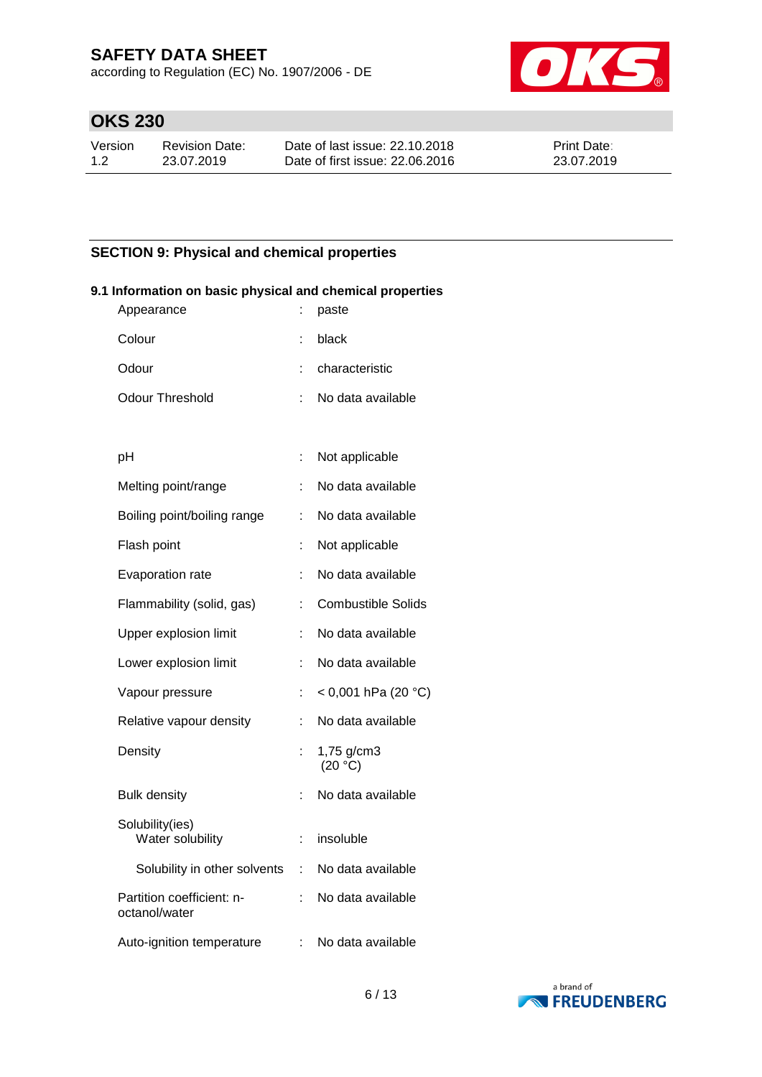according to Regulation (EC) No. 1907/2006 - DE



# **OKS 230**

| Version | Revision Date: | Date of last issue: 22.10.2018  | <b>Print Date:</b> |
|---------|----------------|---------------------------------|--------------------|
| 1.2     | 23.07.2019     | Date of first issue: 22,06,2016 | 23.07.2019         |

## **SECTION 9: Physical and chemical properties**

| ormanon on pasic priyercal and chemical propernes<br>Appearance | ÷  | paste                     |
|-----------------------------------------------------------------|----|---------------------------|
| Colour                                                          | t  | black                     |
| Odour                                                           | t  | characteristic            |
| <b>Odour Threshold</b>                                          | t  | No data available         |
|                                                                 |    |                           |
| рH                                                              | t  | Not applicable            |
| Melting point/range                                             | ÷  | No data available         |
| Boiling point/boiling range                                     | t  | No data available         |
| Flash point                                                     | t  | Not applicable            |
| Evaporation rate                                                | t  | No data available         |
| Flammability (solid, gas)                                       | t  | <b>Combustible Solids</b> |
| Upper explosion limit                                           | t  | No data available         |
| Lower explosion limit                                           | ÷  | No data available         |
| Vapour pressure                                                 | ł, | < 0,001 hPa (20 °C)       |
| Relative vapour density                                         | ÷. | No data available         |
| Density                                                         |    | 1,75 g/cm3<br>(20 °C)     |
| <b>Bulk density</b>                                             |    | No data available         |
| Solubility(ies)<br>Water solubility                             | t  | insoluble                 |
| Solubility in other solvents :                                  |    | No data available         |
| Partition coefficient: n-<br>octanol/water                      | ÷  | No data available         |
| Auto-ignition temperature                                       | ÷. | No data available         |

## **9.1 Information on basic physical and chemical properties**

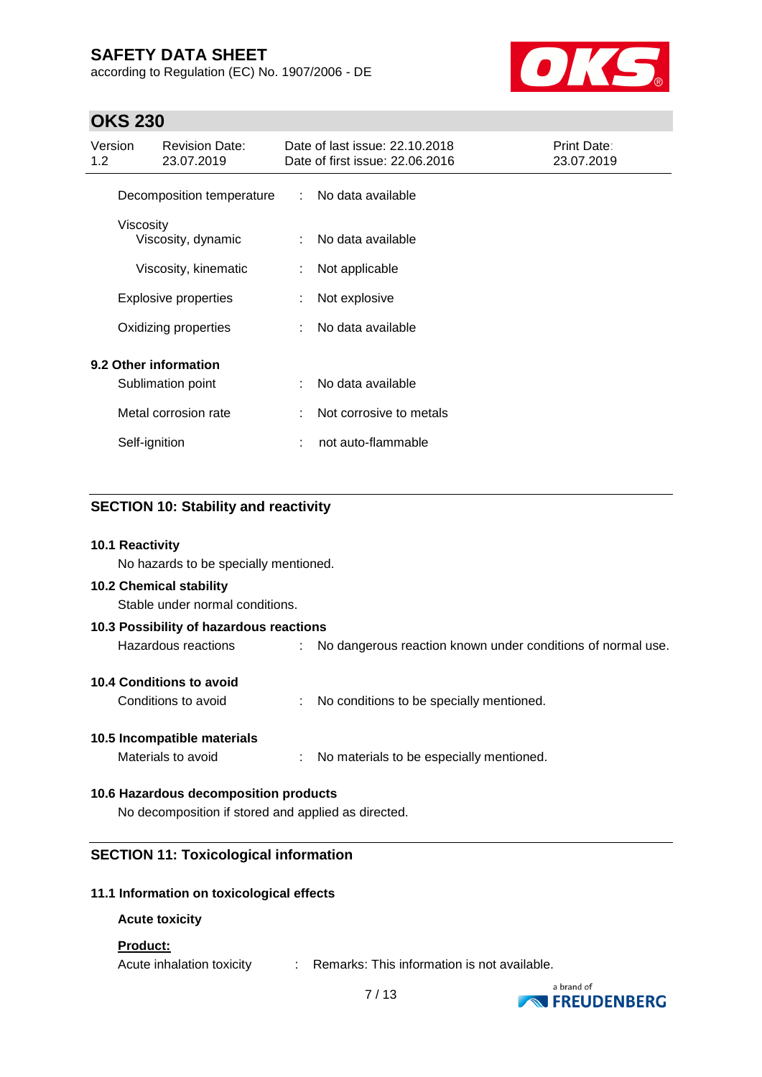according to Regulation (EC) No. 1907/2006 - DE



## **OKS 230**

| Version<br>1.2 |               | <b>Revision Date:</b><br>23.07.2019 |                               | Date of last issue: 22.10.2018<br>Date of first issue: 22.06.2016 | Print Date:<br>23.07.2019 |
|----------------|---------------|-------------------------------------|-------------------------------|-------------------------------------------------------------------|---------------------------|
|                |               | Decomposition temperature           | $\mathcal{L}^{\mathcal{L}}$ . | No data available                                                 |                           |
|                | Viscosity     | Viscosity, dynamic                  | ÷                             | No data available                                                 |                           |
|                |               | Viscosity, kinematic                | ÷                             | Not applicable                                                    |                           |
|                |               | <b>Explosive properties</b>         | ÷                             | Not explosive                                                     |                           |
|                |               | Oxidizing properties                |                               | No data available                                                 |                           |
|                |               | 9.2 Other information               |                               |                                                                   |                           |
|                |               | Sublimation point                   | ÷                             | No data available                                                 |                           |
|                |               | Metal corrosion rate                | ÷                             | Not corrosive to metals                                           |                           |
|                | Self-ignition |                                     |                               | not auto-flammable                                                |                           |
|                |               |                                     |                               |                                                                   |                           |

## **SECTION 10: Stability and reactivity**

#### **10.1 Reactivity**

No hazards to be specially mentioned.

#### **10.2 Chemical stability**

Stable under normal conditions.

| 10.3 Possibility of hazardous reactions                                                                                                                                                                                                                                                                                                                         |  |                                                             |  |  |
|-----------------------------------------------------------------------------------------------------------------------------------------------------------------------------------------------------------------------------------------------------------------------------------------------------------------------------------------------------------------|--|-------------------------------------------------------------|--|--|
| Hazardous reactions                                                                                                                                                                                                                                                                                                                                             |  | No dangerous reaction known under conditions of normal use. |  |  |
| $\overline{10}$ $\overline{10}$ $\overline{11}$ $\overline{11}$ $\overline{11}$ $\overline{11}$ $\overline{11}$ $\overline{11}$ $\overline{11}$ $\overline{11}$ $\overline{11}$ $\overline{11}$ $\overline{11}$ $\overline{11}$ $\overline{11}$ $\overline{11}$ $\overline{11}$ $\overline{11}$ $\overline{11}$ $\overline{11}$ $\overline{11}$ $\overline{11}$ |  |                                                             |  |  |

# **10.4 Conditions to avoid**

Conditions to avoid : No conditions to be specially mentioned.

## **10.5 Incompatible materials**

Materials to avoid : No materials to be especially mentioned.

## **10.6 Hazardous decomposition products**

No decomposition if stored and applied as directed.

## **SECTION 11: Toxicological information**

## **11.1 Information on toxicological effects**

## **Acute toxicity**

## **Product:**

Acute inhalation toxicity : Remarks: This information is not available.

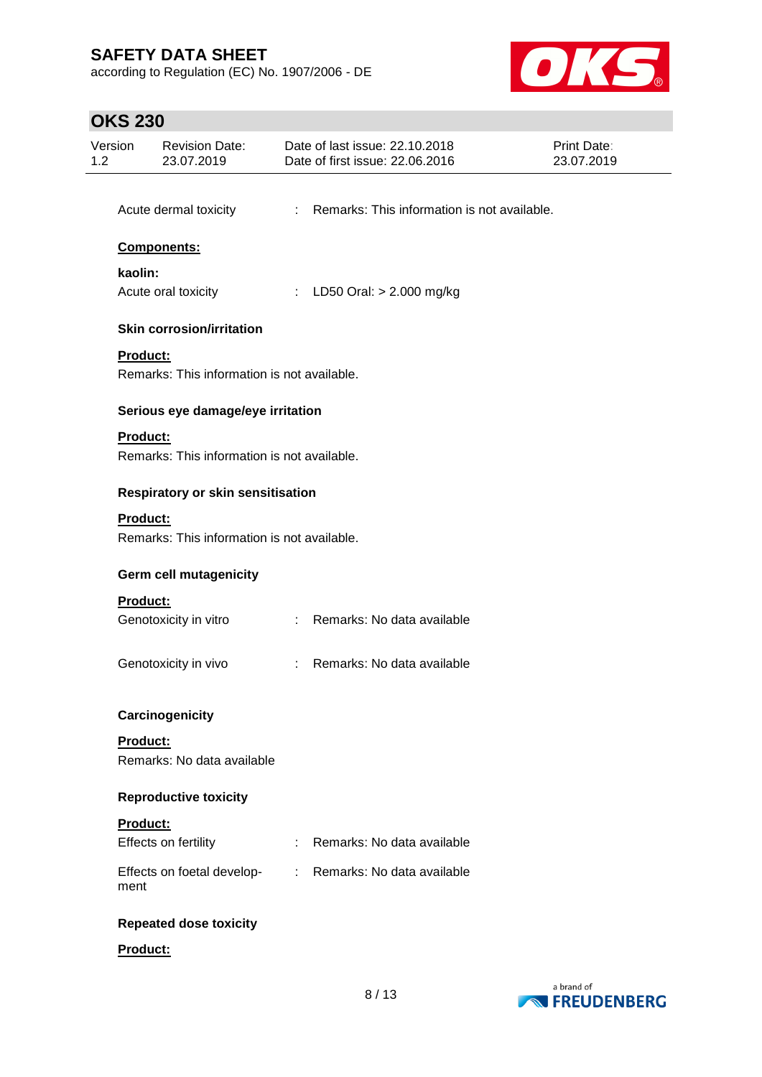according to Regulation (EC) No. 1907/2006 - DE



# **OKS 230**

| Version<br>1.2 | <b>Revision Date:</b><br>23.07.2019                            |    | Date of last issue: 22.10.2018<br>Date of first issue: 22.06.2016 | Print Date:<br>23.07.2019 |  |  |  |
|----------------|----------------------------------------------------------------|----|-------------------------------------------------------------------|---------------------------|--|--|--|
|                | Acute dermal toxicity                                          |    | : Remarks: This information is not available.                     |                           |  |  |  |
|                |                                                                |    |                                                                   |                           |  |  |  |
|                | <b>Components:</b>                                             |    |                                                                   |                           |  |  |  |
| kaolin:        | Acute oral toxicity                                            |    | : LD50 Oral: $> 2.000$ mg/kg                                      |                           |  |  |  |
|                | <b>Skin corrosion/irritation</b>                               |    |                                                                   |                           |  |  |  |
|                | Product:<br>Remarks: This information is not available.        |    |                                                                   |                           |  |  |  |
|                | Serious eye damage/eye irritation                              |    |                                                                   |                           |  |  |  |
|                | Product:<br>Remarks: This information is not available.        |    |                                                                   |                           |  |  |  |
|                | Respiratory or skin sensitisation                              |    |                                                                   |                           |  |  |  |
|                | <b>Product:</b><br>Remarks: This information is not available. |    |                                                                   |                           |  |  |  |
|                | <b>Germ cell mutagenicity</b>                                  |    |                                                                   |                           |  |  |  |
|                | Product:<br>Genotoxicity in vitro                              |    | : Remarks: No data available                                      |                           |  |  |  |
|                | Genotoxicity in vivo                                           |    | Remarks: No data available                                        |                           |  |  |  |
|                | Carcinogenicity                                                |    |                                                                   |                           |  |  |  |
|                | Product:<br>Remarks: No data available                         |    |                                                                   |                           |  |  |  |
|                | <b>Reproductive toxicity</b>                                   |    |                                                                   |                           |  |  |  |
|                | Product:<br>Effects on fertility                               |    | Remarks: No data available                                        |                           |  |  |  |
| ment           | Effects on foetal develop-                                     | t. | Remarks: No data available                                        |                           |  |  |  |
|                | <b>Repeated dose toxicity</b>                                  |    |                                                                   |                           |  |  |  |
|                | Product:                                                       |    |                                                                   |                           |  |  |  |

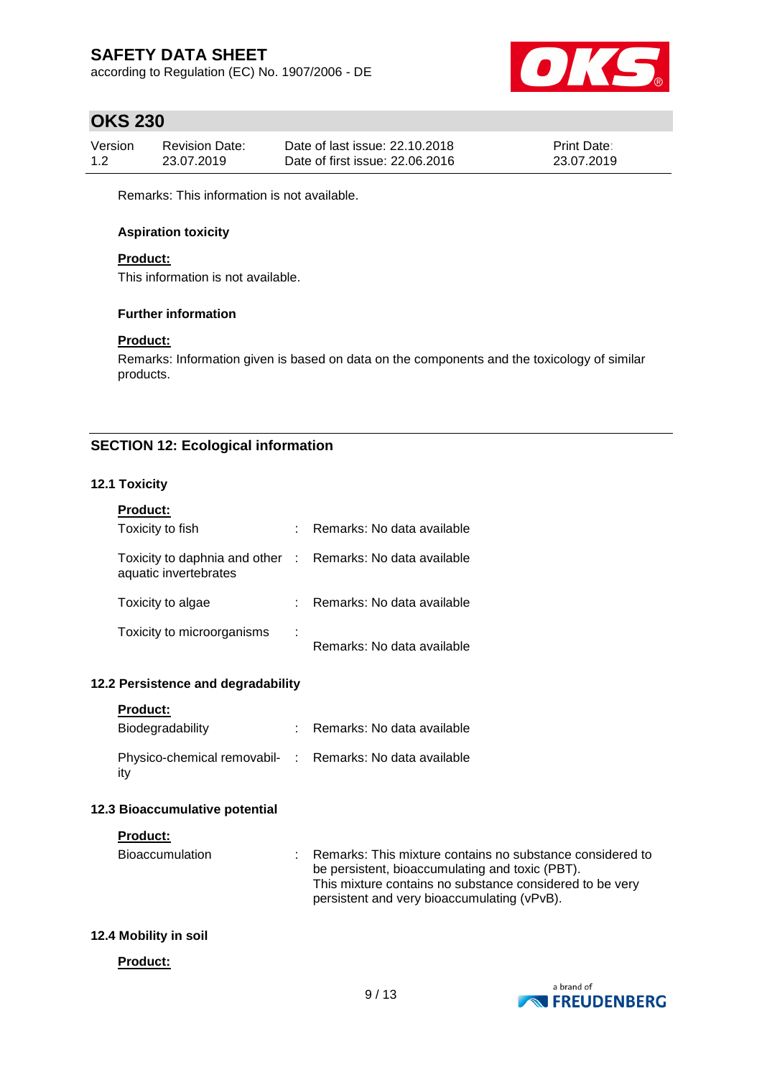according to Regulation (EC) No. 1907/2006 - DE



## **OKS 230**

| Version | Revision Date: | Date of last issue: 22.10.2018  | <b>Print Date:</b> |
|---------|----------------|---------------------------------|--------------------|
| 1.2     | 23.07.2019     | Date of first issue: 22,06,2016 | 23.07.2019         |

Remarks: This information is not available.

## **Aspiration toxicity**

## **Product:**

This information is not available.

## **Further information**

## **Product:**

Remarks: Information given is based on data on the components and the toxicology of similar products.

## **SECTION 12: Ecological information**

## **12.1 Toxicity**

| <b>Product:</b>                                                                     |   |                            |
|-------------------------------------------------------------------------------------|---|----------------------------|
| Toxicity to fish                                                                    |   | Remarks: No data available |
| Toxicity to daphnia and other : Remarks: No data available<br>aquatic invertebrates |   |                            |
| Toxicity to algae                                                                   |   | Remarks: No data available |
| Toxicity to microorganisms                                                          | ÷ | Remarks: No data available |

## **12.2 Persistence and degradability**

|  | Product: |  |
|--|----------|--|
|  |          |  |

| Biodegradability                                                | : Remarks: No data available |
|-----------------------------------------------------------------|------------------------------|
| Physico-chemical removabil- : Remarks: No data available<br>ity |                              |

## **12.3 Bioaccumulative potential**

## **Product:**

| <b>Bioaccumulation</b> | Remarks: This mixture contains no substance considered to<br>be persistent, bioaccumulating and toxic (PBT). |
|------------------------|--------------------------------------------------------------------------------------------------------------|
|                        | This mixture contains no substance considered to be very<br>persistent and very bioaccumulating (vPvB).      |

## **12.4 Mobility in soil**

#### **Product:**

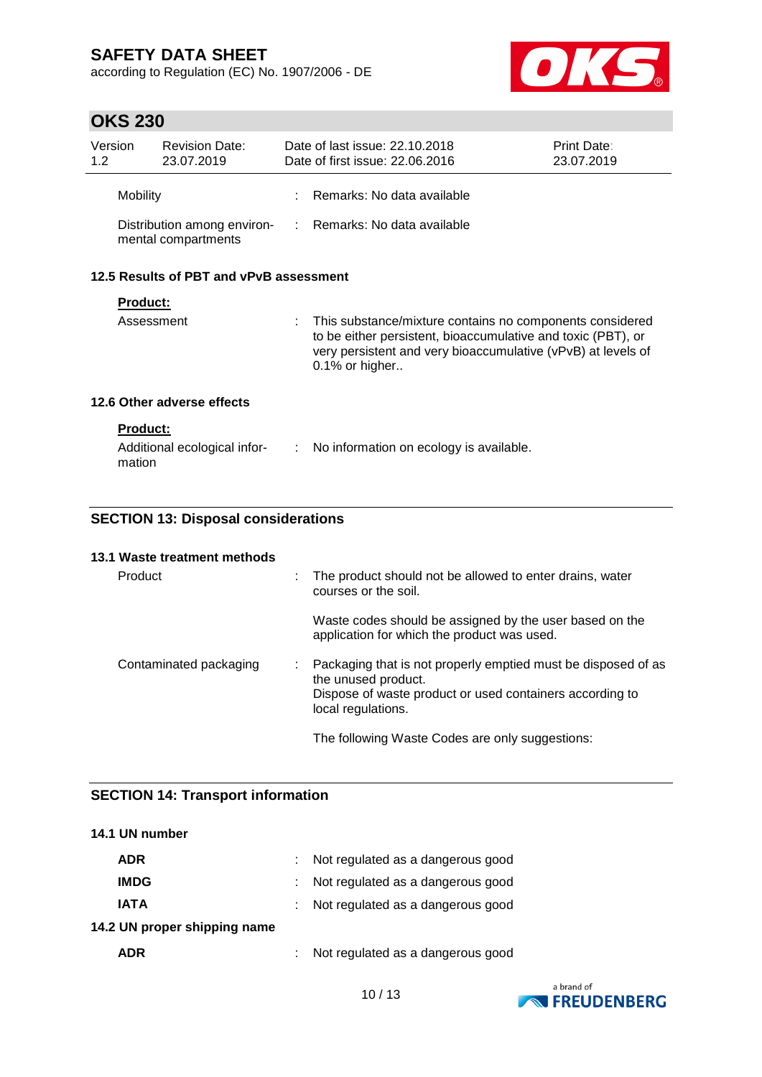according to Regulation (EC) No. 1907/2006 - DE



# **OKS 230**

| 1.2 <sub>2</sub>           | Version                                            | <b>Revision Date:</b><br>23.07.2019     |                                                                                                                                                                                                            | Date of last issue: 22.10.2018<br>Date of first issue: 22.06.2016 | <b>Print Date:</b><br>23.07.2019 |  |  |  |
|----------------------------|----------------------------------------------------|-----------------------------------------|------------------------------------------------------------------------------------------------------------------------------------------------------------------------------------------------------------|-------------------------------------------------------------------|----------------------------------|--|--|--|
|                            | Mobility                                           |                                         |                                                                                                                                                                                                            | : Remarks: No data available                                      |                                  |  |  |  |
|                            | Distribution among environ-<br>mental compartments |                                         |                                                                                                                                                                                                            | : Remarks: No data available                                      |                                  |  |  |  |
|                            |                                                    | 12.5 Results of PBT and vPvB assessment |                                                                                                                                                                                                            |                                                                   |                                  |  |  |  |
|                            | <b>Product:</b>                                    |                                         |                                                                                                                                                                                                            |                                                                   |                                  |  |  |  |
| Assessment                 |                                                    |                                         | This substance/mixture contains no components considered<br>to be either persistent, bioaccumulative and toxic (PBT), or<br>very persistent and very bioaccumulative (vPvB) at levels of<br>0.1% or higher |                                                                   |                                  |  |  |  |
| 12.6 Other adverse effects |                                                    |                                         |                                                                                                                                                                                                            |                                                                   |                                  |  |  |  |
|                            | <b>Product:</b><br>mation                          | Additional ecological infor-            | ÷.                                                                                                                                                                                                         | No information on ecology is available.                           |                                  |  |  |  |

## **SECTION 13: Disposal considerations**

|  | 13.1 Waste treatment methods |  |
|--|------------------------------|--|
|--|------------------------------|--|

| <b>Product</b>         |  | : The product should not be allowed to enter drains, water<br>courses or the soil.                                                                                       |
|------------------------|--|--------------------------------------------------------------------------------------------------------------------------------------------------------------------------|
|                        |  | Waste codes should be assigned by the user based on the<br>application for which the product was used.                                                                   |
| Contaminated packaging |  | : Packaging that is not properly emptied must be disposed of as<br>the unused product.<br>Dispose of waste product or used containers according to<br>local regulations. |
|                        |  | The following Waste Codes are only suggestions:                                                                                                                          |

## **SECTION 14: Transport information**

| 14.1 UN number               |                                   |
|------------------------------|-----------------------------------|
| <b>ADR</b>                   | Not regulated as a dangerous good |
| <b>IMDG</b>                  | Not regulated as a dangerous good |
| <b>IATA</b>                  | Not regulated as a dangerous good |
| 14.2 UN proper shipping name |                                   |
| <b>ADR</b>                   | Not regulated as a dangerous good |

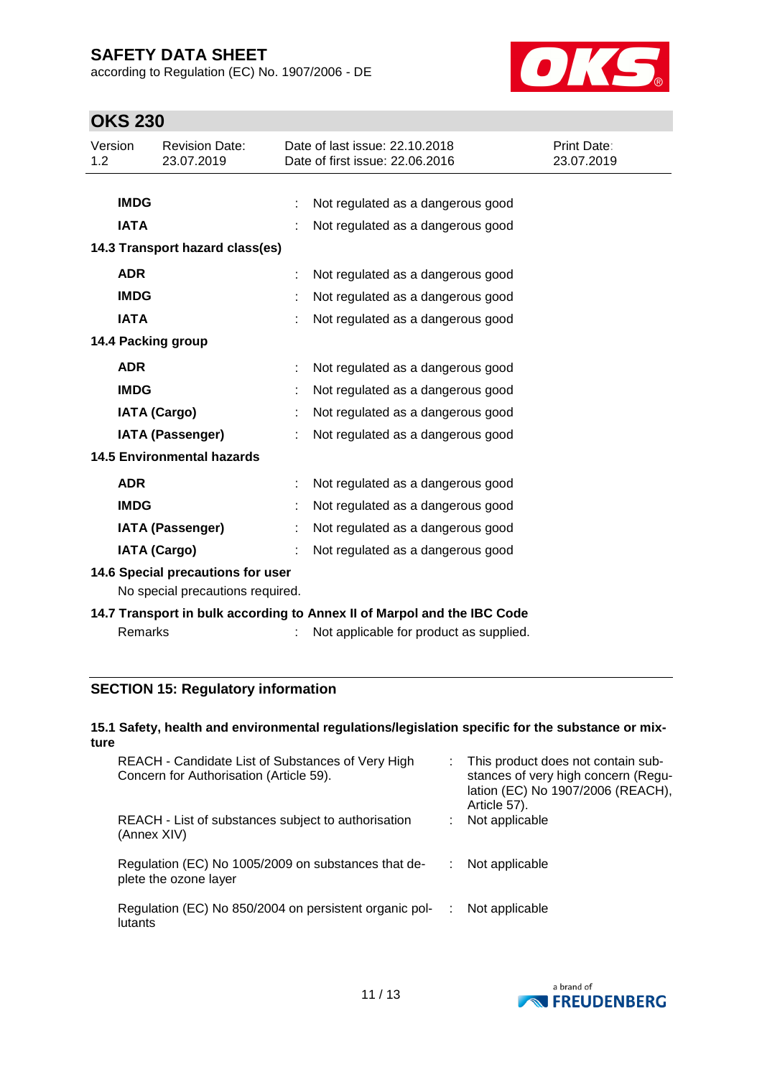according to Regulation (EC) No. 1907/2006 - DE



# **OKS 230**

| Version<br>1.2                   |                                   | <b>Revision Date:</b><br>23.07.2019 |   | Date of last issue: 22.10.2018<br>Date of first issue: 22.06.2016       | Print Date:<br>23.07.2019 |  |  |
|----------------------------------|-----------------------------------|-------------------------------------|---|-------------------------------------------------------------------------|---------------------------|--|--|
|                                  |                                   |                                     |   |                                                                         |                           |  |  |
|                                  | <b>IMDG</b>                       |                                     |   | Not regulated as a dangerous good                                       |                           |  |  |
|                                  | <b>IATA</b>                       |                                     |   | Not regulated as a dangerous good                                       |                           |  |  |
|                                  |                                   | 14.3 Transport hazard class(es)     |   |                                                                         |                           |  |  |
|                                  | <b>ADR</b>                        |                                     |   | Not regulated as a dangerous good                                       |                           |  |  |
|                                  | <b>IMDG</b>                       |                                     |   | Not regulated as a dangerous good                                       |                           |  |  |
|                                  | <b>IATA</b>                       |                                     |   | Not regulated as a dangerous good                                       |                           |  |  |
|                                  |                                   | 14.4 Packing group                  |   |                                                                         |                           |  |  |
|                                  | <b>ADR</b>                        |                                     | ÷ | Not regulated as a dangerous good                                       |                           |  |  |
|                                  | <b>IMDG</b>                       |                                     |   | Not regulated as a dangerous good                                       |                           |  |  |
|                                  |                                   | <b>IATA (Cargo)</b>                 |   | Not regulated as a dangerous good                                       |                           |  |  |
|                                  |                                   | <b>IATA (Passenger)</b>             |   | Not regulated as a dangerous good                                       |                           |  |  |
|                                  |                                   | <b>14.5 Environmental hazards</b>   |   |                                                                         |                           |  |  |
|                                  | <b>ADR</b>                        |                                     |   | Not regulated as a dangerous good                                       |                           |  |  |
|                                  | <b>IMDG</b>                       |                                     |   | Not regulated as a dangerous good                                       |                           |  |  |
|                                  |                                   | <b>IATA (Passenger)</b>             |   | Not regulated as a dangerous good                                       |                           |  |  |
|                                  |                                   | <b>IATA (Cargo)</b>                 |   | Not regulated as a dangerous good                                       |                           |  |  |
|                                  | 14.6 Special precautions for user |                                     |   |                                                                         |                           |  |  |
| No special precautions required. |                                   |                                     |   |                                                                         |                           |  |  |
|                                  |                                   |                                     |   | 14.7 Transport in bulk according to Annex II of Marpol and the IBC Code |                           |  |  |
|                                  | Remarks                           |                                     |   | Not applicable for product as supplied.                                 |                           |  |  |

## **SECTION 15: Regulatory information**

## **15.1 Safety, health and environmental regulations/legislation specific for the substance or mixture**

| REACH - Candidate List of Substances of Very High<br>Concern for Authorisation (Article 59). | This product does not contain sub-<br>stances of very high concern (Regu-<br>lation (EC) No 1907/2006 (REACH),<br>Article 57). |
|----------------------------------------------------------------------------------------------|--------------------------------------------------------------------------------------------------------------------------------|
| REACH - List of substances subject to authorisation<br>(Annex XIV)                           | Not applicable                                                                                                                 |
| Regulation (EC) No 1005/2009 on substances that de-<br>plete the ozone layer                 | Not applicable                                                                                                                 |
| Regulation (EC) No 850/2004 on persistent organic pol-<br>lutants                            | Not applicable                                                                                                                 |

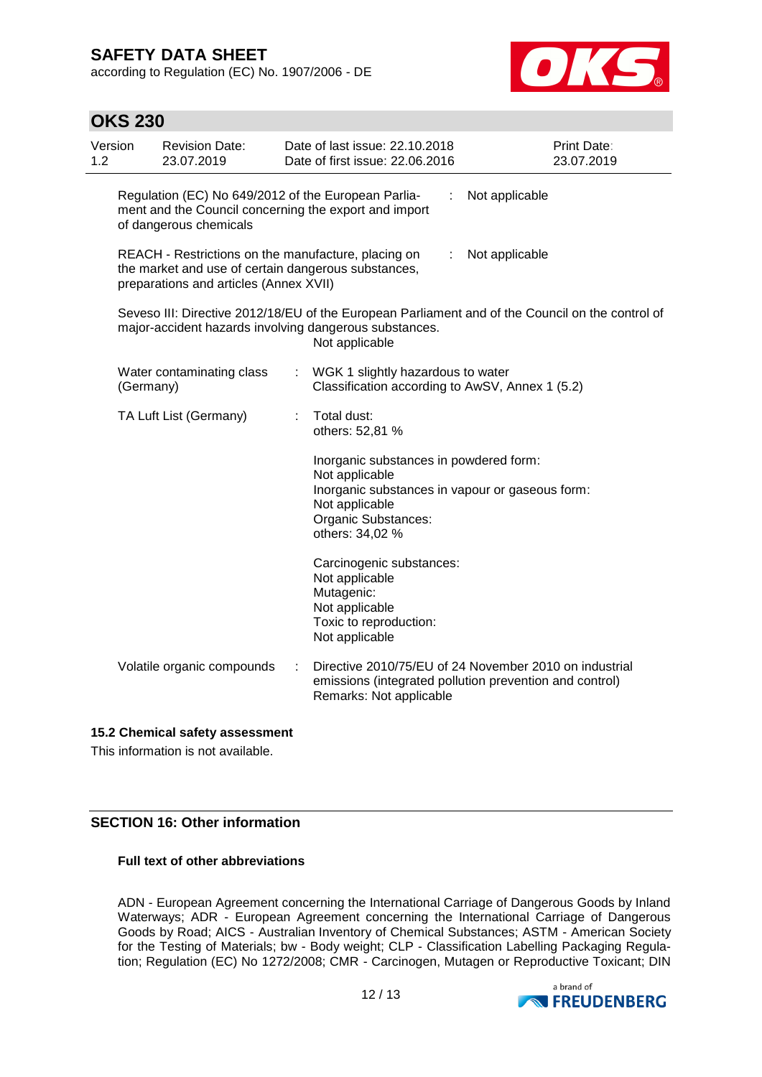**OKS 230**

according to Regulation (EC) No. 1907/2006 - DE



| 1.2 | Version                                                                                                                                                                      | <b>Revision Date:</b><br>23.07.2019 |   | Date of last issue: 22.10.2018<br>Date of first issue: 22.06.2016                                                                                                       |  | <b>Print Date:</b><br>23.07.2019 |  |
|-----|------------------------------------------------------------------------------------------------------------------------------------------------------------------------------|-------------------------------------|---|-------------------------------------------------------------------------------------------------------------------------------------------------------------------------|--|----------------------------------|--|
|     | Regulation (EC) No 649/2012 of the European Parlia-<br>Not applicable<br>ment and the Council concerning the export and import<br>of dangerous chemicals                     |                                     |   |                                                                                                                                                                         |  |                                  |  |
|     | REACH - Restrictions on the manufacture, placing on<br>Not applicable<br>÷.<br>the market and use of certain dangerous substances,<br>preparations and articles (Annex XVII) |                                     |   |                                                                                                                                                                         |  |                                  |  |
|     | Seveso III: Directive 2012/18/EU of the European Parliament and of the Council on the control of<br>major-accident hazards involving dangerous substances.<br>Not applicable |                                     |   |                                                                                                                                                                         |  |                                  |  |
|     | (Germany)                                                                                                                                                                    | Water contaminating class           |   | : WGK 1 slightly hazardous to water<br>Classification according to AwSV, Annex 1 (5.2)                                                                                  |  |                                  |  |
|     |                                                                                                                                                                              | TA Luft List (Germany)              |   | Total dust:<br>others: 52,81 %                                                                                                                                          |  |                                  |  |
|     |                                                                                                                                                                              |                                     |   | Inorganic substances in powdered form:<br>Not applicable<br>Inorganic substances in vapour or gaseous form:<br>Not applicable<br>Organic Substances:<br>others: 34,02 % |  |                                  |  |
|     |                                                                                                                                                                              |                                     |   | Carcinogenic substances:<br>Not applicable<br>Mutagenic:<br>Not applicable<br>Toxic to reproduction:<br>Not applicable                                                  |  |                                  |  |
|     |                                                                                                                                                                              | Volatile organic compounds          | ÷ | Directive 2010/75/EU of 24 November 2010 on industrial<br>emissions (integrated pollution prevention and control)<br>Remarks: Not applicable                            |  |                                  |  |

## **15.2 Chemical safety assessment**

This information is not available.

## **SECTION 16: Other information**

## **Full text of other abbreviations**

ADN - European Agreement concerning the International Carriage of Dangerous Goods by Inland Waterways; ADR - European Agreement concerning the International Carriage of Dangerous Goods by Road; AICS - Australian Inventory of Chemical Substances; ASTM - American Society for the Testing of Materials; bw - Body weight; CLP - Classification Labelling Packaging Regulation; Regulation (EC) No 1272/2008; CMR - Carcinogen, Mutagen or Reproductive Toxicant; DIN